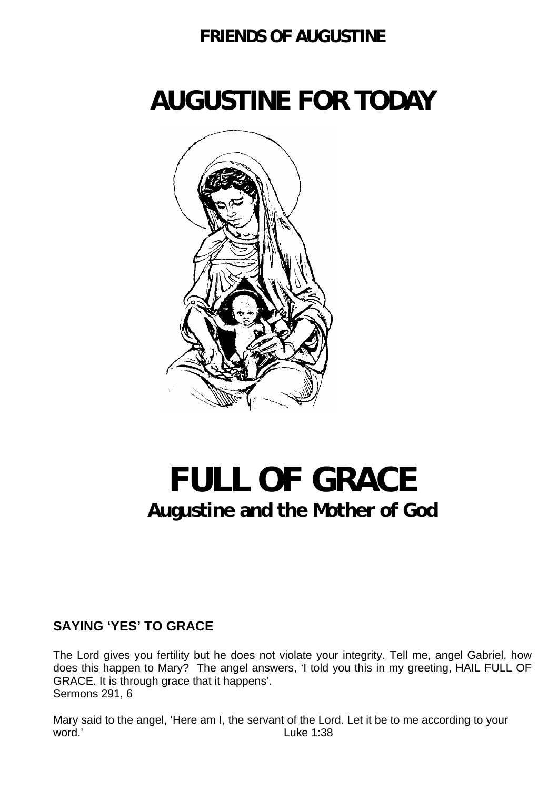### **FRIENDS OF AUGUSTINE**

# **AUGUSTINE FOR TODAY**



## **FULL OF GRACE Augustine and the Mother of God**

#### **SAYING 'YES' TO GRACE**

The Lord gives you fertility but he does not violate your integrity. Tell me, angel Gabriel, how does this happen to Mary? The angel answers, 'I told you this in my greeting, HAIL FULL OF GRACE. It is through grace that it happens'. Sermons 291, 6

Mary said to the angel, 'Here am I, the servant of the Lord. Let it be to me according to your word.' Euke 1:38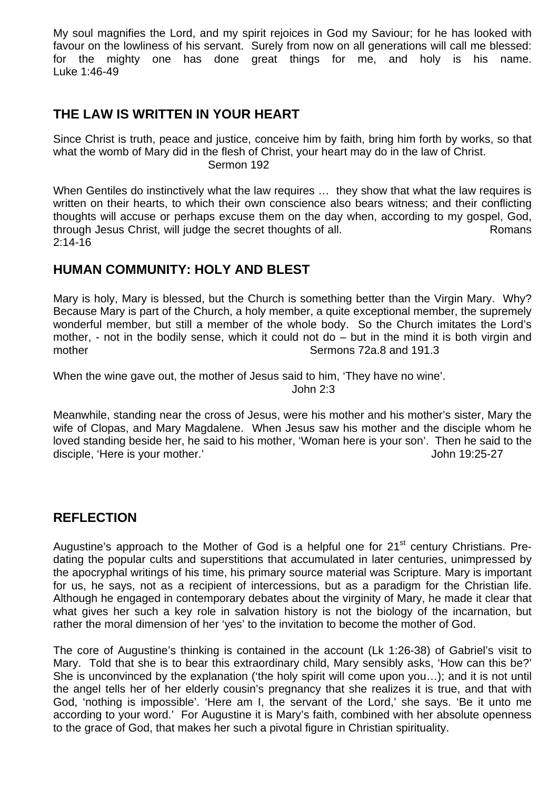My soul magnifies the Lord, and my spirit rejoices in God my Saviour; for he has looked with favour on the lowliness of his servant. Surely from now on all generations will call me blessed: for the mighty one has done great things for me, and holy is his name. Luke 1:46-49

#### **THE LAW IS WRITTEN IN YOUR HEART**

Since Christ is truth, peace and justice, conceive him by faith, bring him forth by works, so that what the womb of Mary did in the flesh of Christ, your heart may do in the law of Christ. Sermon 192

When Gentiles do instinctively what the law requires … they show that what the law requires is written on their hearts, to which their own conscience also bears witness; and their conflicting thoughts will accuse or perhaps excuse them on the day when, according to my gospel, God, through Jesus Christ, will judge the secret thoughts of all. Romans 2:14-16

#### **HUMAN COMMUNITY: HOLY AND BLEST**

Mary is holy, Mary is blessed, but the Church is something better than the Virgin Mary. Why? Because Mary is part of the Church, a holy member, a quite exceptional member, the supremely wonderful member, but still a member of the whole body. So the Church imitates the Lord's mother, - not in the bodily sense, which it could not do – but in the mind it is both virgin and mother  $\sim$  Sermons 72a.8 and 191.3

When the wine gave out, the mother of Jesus said to him. 'They have no wine'.

John 2:3

Meanwhile, standing near the cross of Jesus, were his mother and his mother's sister, Mary the wife of Clopas, and Mary Magdalene. When Jesus saw his mother and the disciple whom he loved standing beside her, he said to his mother, 'Woman here is your son'. Then he said to the disciple, 'Here is your mother.' and the state of the state of the disciple, 'Here is your mother.'

#### **REFLECTION**

Augustine's approach to the Mother of God is a helpful one for  $21<sup>st</sup>$  century Christians. Predating the popular cults and superstitions that accumulated in later centuries, unimpressed by the apocryphal writings of his time, his primary source material was Scripture. Mary is important for us, he says, not as a recipient of intercessions, but as a paradigm for the Christian life. Although he engaged in contemporary debates about the virginity of Mary, he made it clear that what gives her such a key role in salvation history is not the biology of the incarnation, but rather the moral dimension of her 'yes' to the invitation to become the mother of God.

The core of Augustine's thinking is contained in the account (Lk 1:26-38) of Gabriel's visit to Mary. Told that she is to bear this extraordinary child, Mary sensibly asks, 'How can this be?' She is unconvinced by the explanation ('the holy spirit will come upon you…); and it is not until the angel tells her of her elderly cousin's pregnancy that she realizes it is true, and that with God, 'nothing is impossible'. 'Here am I, the servant of the Lord,' she says. 'Be it unto me according to your word.' For Augustine it is Mary's faith, combined with her absolute openness to the grace of God, that makes her such a pivotal figure in Christian spirituality.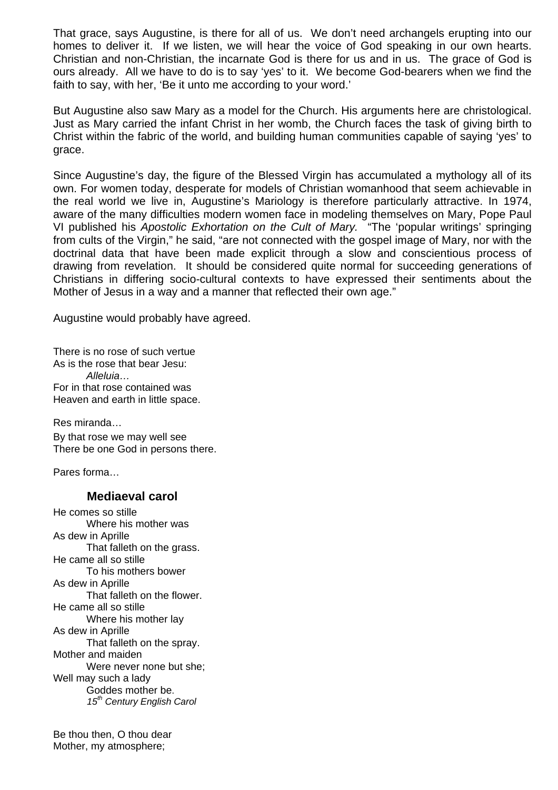That grace, says Augustine, is there for all of us. We don't need archangels erupting into our homes to deliver it. If we listen, we will hear the voice of God speaking in our own hearts. Christian and non-Christian, the incarnate God is there for us and in us. The grace of God is ours already. All we have to do is to say 'yes' to it. We become God-bearers when we find the faith to say, with her, 'Be it unto me according to your word.'

But Augustine also saw Mary as a model for the Church. His arguments here are christological. Just as Mary carried the infant Christ in her womb, the Church faces the task of giving birth to Christ within the fabric of the world, and building human communities capable of saying 'yes' to grace.

Since Augustine's day, the figure of the Blessed Virgin has accumulated a mythology all of its own. For women today, desperate for models of Christian womanhood that seem achievable in the real world we live in, Augustine's Mariology is therefore particularly attractive. In 1974, aware of the many difficulties modern women face in modeling themselves on Mary, Pope Paul VI published his *Apostolic Exhortation on the Cult of Mary.* "The 'popular writings' springing from cults of the Virgin," he said, "are not connected with the gospel image of Mary, nor with the doctrinal data that have been made explicit through a slow and conscientious process of drawing from revelation. It should be considered quite normal for succeeding generations of Christians in differing socio-cultural contexts to have expressed their sentiments about the Mother of Jesus in a way and a manner that reflected their own age."

Augustine would probably have agreed.

There is no rose of such vertue As is the rose that bear Jesu: *Alleluia…*  For in that rose contained was Heaven and earth in little space.

Res miranda…

By that rose we may well see There be one God in persons there.

Pares forma…

#### **Mediaeval carol**

He comes so stille Where his mother was As dew in Aprille That falleth on the grass. He came all so stille To his mothers bower As dew in Aprille That falleth on the flower. He came all so stille Where his mother lay As dew in Aprille That falleth on the spray. Mother and maiden Were never none but she; Well may such a lady Goddes mother be. *15th Century English Carol* 

Be thou then, O thou dear Mother, my atmosphere;